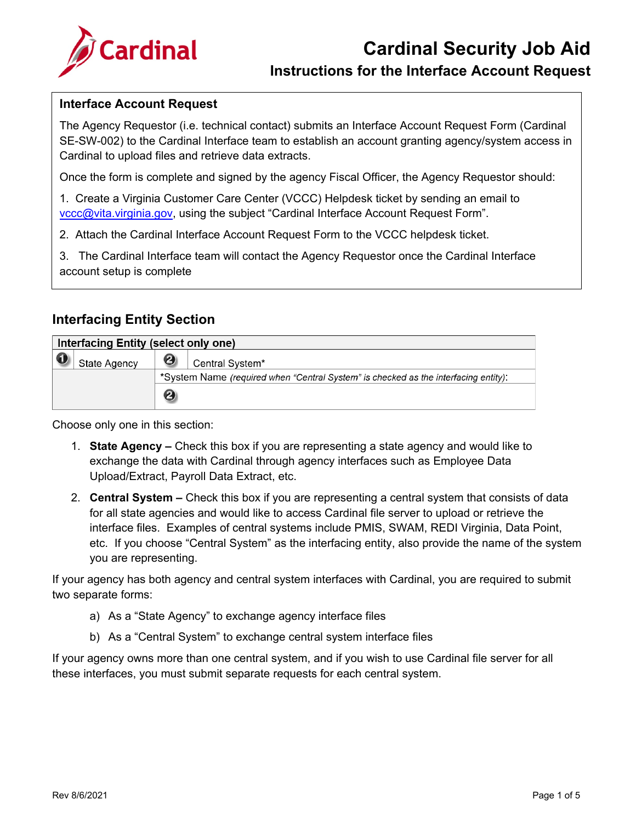

#### **Instructions for the Interface Account Request**

#### **Interface Account Request**

The Agency Requestor (i.e. technical contact) submits an Interface Account Request Form (Cardinal SE-SW-002) to the Cardinal Interface team to establish an account granting agency/system access in Cardinal to upload files and retrieve data extracts.

Once the form is complete and signed by the agency Fiscal Officer, the Agency Requestor should:

1. Create a Virginia Customer Care Center (VCCC) Helpdesk ticket by sending an email to vccc@vita.virginia.gov, using the subject "Cardinal Interface Account Request Form".

2. Attach the Cardinal Interface Account Request Form to the VCCC helpdesk ticket.

3. The Cardinal Interface team will contact the Agency Requestor once the Cardinal Interface account setup is complete

#### **Interfacing Entity Section**

| Interfacing Entity (select only one)        |                                                                                     |  |  |  |  |
|---------------------------------------------|-------------------------------------------------------------------------------------|--|--|--|--|
| 0<br>Central System*<br><b>State Agency</b> |                                                                                     |  |  |  |  |
|                                             | *System Name (required when "Central System" is checked as the interfacing entity): |  |  |  |  |
|                                             | 0                                                                                   |  |  |  |  |

Choose only one in this section:

- 1. **State Agency –** Check this box if you are representing a state agency and would like to exchange the data with Cardinal through agency interfaces such as Employee Data Upload/Extract, Payroll Data Extract, etc.
- 2. **Central System –** Check this box if you are representing a central system that consists of data for all state agencies and would like to access Cardinal file server to upload or retrieve the interface files. Examples of central systems include PMIS, SWAM, REDI Virginia, Data Point, etc. If you choose "Central System" as the interfacing entity, also provide the name of the system you are representing.

If your agency has both agency and central system interfaces with Cardinal, you are required to submit two separate forms:

- a) As a "State Agency" to exchange agency interface files
- b) As a "Central System" to exchange central system interface files

If your agency owns more than one central system, and if you wish to use Cardinal file server for all these interfaces, you must submit separate requests for each central system.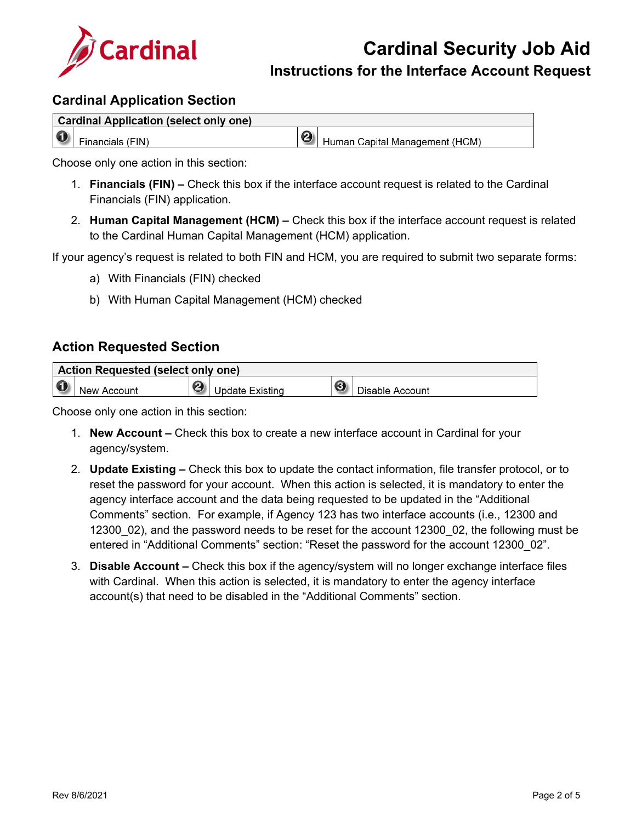

**Instructions for the Interface Account Request**

#### **Cardinal Application Section**

|           | <b>Cardinal Application (select only one)</b> |                       |                                |
|-----------|-----------------------------------------------|-----------------------|--------------------------------|
| $\bullet$ | Financials (FIN)                              | $\boldsymbol{\Theta}$ | Human Capital Management (HCM) |

Choose only one action in this section:

- 1. **Financials (FIN) –** Check this box if the interface account request is related to the Cardinal Financials (FIN) application.
- 2. **Human Capital Management (HCM) –** Check this box if the interface account request is related to the Cardinal Human Capital Management (HCM) application.

If your agency's request is related to both FIN and HCM, you are required to submit two separate forms:

- a) With Financials (FIN) checked
- b) With Human Capital Management (HCM) checked

#### **Action Requested Section**

| Action Requested (select only one) |             |  |                 |   |                 |  |
|------------------------------------|-------------|--|-----------------|---|-----------------|--|
|                                    | New Account |  | Jpdate Existing | ❸ | Disable Account |  |

Choose only one action in this section:

- 1. **New Account –** Check this box to create a new interface account in Cardinal for your agency/system.
- 2. **Update Existing –** Check this box to update the contact information, file transfer protocol, or to reset the password for your account. When this action is selected, it is mandatory to enter the agency interface account and the data being requested to be updated in the "Additional Comments" section. For example, if Agency 123 has two interface accounts (i.e., 12300 and 12300 02), and the password needs to be reset for the account 12300 02, the following must be entered in "Additional Comments" section: "Reset the password for the account 12300\_02".
- 3. **Disable Account –** Check this box if the agency/system will no longer exchange interface files with Cardinal. When this action is selected, it is mandatory to enter the agency interface account(s) that need to be disabled in the "Additional Comments" section.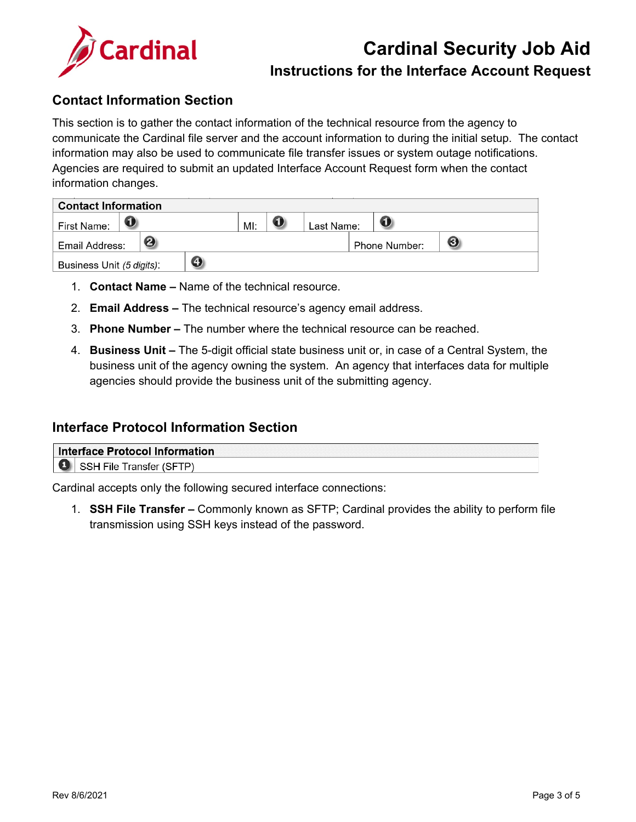

# **Cardinal Security Job Aid**

#### **Instructions for the Interface Account Request**

#### **Contact Information Section**

This section is to gather the contact information of the technical resource from the agency to communicate the Cardinal file server and the account information to during the initial setup. The contact information may also be used to communicate file transfer issues or system outage notifications. Agencies are required to submit an updated Interface Account Request form when the contact information changes.

| <b>Contact Information</b>     |  |  |  |     |  |            |               |   |  |
|--------------------------------|--|--|--|-----|--|------------|---------------|---|--|
| First Name:                    |  |  |  | MI: |  | Last Name: |               |   |  |
| 2<br>Email Address:            |  |  |  |     |  |            | Phone Number: | ❸ |  |
| O<br>Business Unit (5 digits): |  |  |  |     |  |            |               |   |  |

- 1. **Contact Name –** Name of the technical resource.
- 2. **Email Address –** The technical resource's agency email address.
- 3. **Phone Number –** The number where the technical resource can be reached.
- 4. **Business Unit –** The 5-digit official state business unit or, in case of a Central System, the business unit of the agency owning the system. An agency that interfaces data for multiple agencies should provide the business unit of the submitting agency.

#### **Interface Protocol Information Section**

| Interface Protocol Information |  |
|--------------------------------|--|
| ние<br>٥г                      |  |

Cardinal accepts only the following secured interface connections:

1. **SSH File Transfer –** Commonly known as SFTP; Cardinal provides the ability to perform file transmission using SSH keys instead of the password.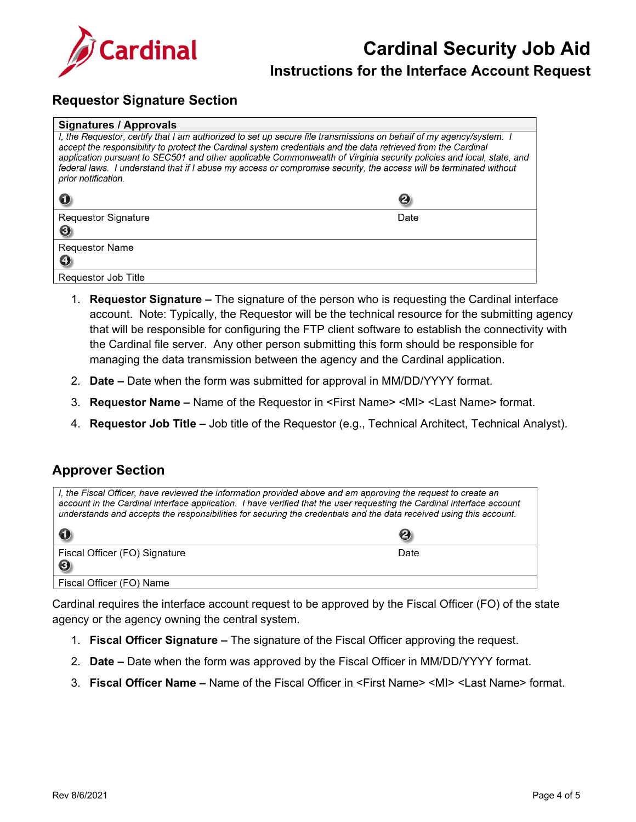

## **Cardinal Security Job Aid**

#### **Instructions for the Interface Account Request**

#### **Requestor Signature Section**

| <b>Signatures / Approvals</b>                                                                                                                                                                                                                                                                                                                                                                                                                                                                             |      |  |  |  |
|-----------------------------------------------------------------------------------------------------------------------------------------------------------------------------------------------------------------------------------------------------------------------------------------------------------------------------------------------------------------------------------------------------------------------------------------------------------------------------------------------------------|------|--|--|--|
| I, the Requestor, certify that I am authorized to set up secure file transmissions on behalf of my agency/system. I<br>accept the responsibility to protect the Cardinal system credentials and the data retrieved from the Cardinal<br>application pursuant to SEC501 and other applicable Commonwealth of Virginia security policies and local, state, and<br>federal laws. I understand that if I abuse my access or compromise security, the access will be terminated without<br>prior notification. |      |  |  |  |
|                                                                                                                                                                                                                                                                                                                                                                                                                                                                                                           | 0    |  |  |  |
| <b>Requestor Signature</b>                                                                                                                                                                                                                                                                                                                                                                                                                                                                                | Date |  |  |  |
| ❸                                                                                                                                                                                                                                                                                                                                                                                                                                                                                                         |      |  |  |  |
| <b>Requestor Name</b>                                                                                                                                                                                                                                                                                                                                                                                                                                                                                     |      |  |  |  |
|                                                                                                                                                                                                                                                                                                                                                                                                                                                                                                           |      |  |  |  |
| Requestor Job Title                                                                                                                                                                                                                                                                                                                                                                                                                                                                                       |      |  |  |  |

- 1. **Requestor Signature –** The signature of the person who is requesting the Cardinal interface account. Note: Typically, the Requestor will be the technical resource for the submitting agency that will be responsible for configuring the FTP client software to establish the connectivity with the Cardinal file server. Any other person submitting this form should be responsible for managing the data transmission between the agency and the Cardinal application.
- 2. **Date –** Date when the form was submitted for approval in MM/DD/YYYY format.
- 3. **Requestor Name –** Name of the Requestor in <First Name> <MI> <Last Name> format.
- 4. **Requestor Job Title –** Job title of the Requestor (e.g., Technical Architect, Technical Analyst).

#### **Approver Section**

| I, the Fiscal Officer, have reviewed the information provided above and am approving the request to create an<br>account in the Cardinal interface application. I have verified that the user requesting the Cardinal interface account<br>understands and accepts the responsibilities for securing the credentials and the data received using this account. |      |  |  |  |
|----------------------------------------------------------------------------------------------------------------------------------------------------------------------------------------------------------------------------------------------------------------------------------------------------------------------------------------------------------------|------|--|--|--|
|                                                                                                                                                                                                                                                                                                                                                                | 2    |  |  |  |
| Fiscal Officer (FO) Signature                                                                                                                                                                                                                                                                                                                                  | Date |  |  |  |
| $\bigcirc$<br>Fiscal Officer (FO) Name                                                                                                                                                                                                                                                                                                                         |      |  |  |  |

Cardinal requires the interface account request to be approved by the Fiscal Officer (FO) of the state agency or the agency owning the central system.

- 1. **Fiscal Officer Signature –** The signature of the Fiscal Officer approving the request.
- 2. **Date –** Date when the form was approved by the Fiscal Officer in MM/DD/YYYY format.
- 3. **Fiscal Officer Name –** Name of the Fiscal Officer in <First Name> <MI> <Last Name> format.